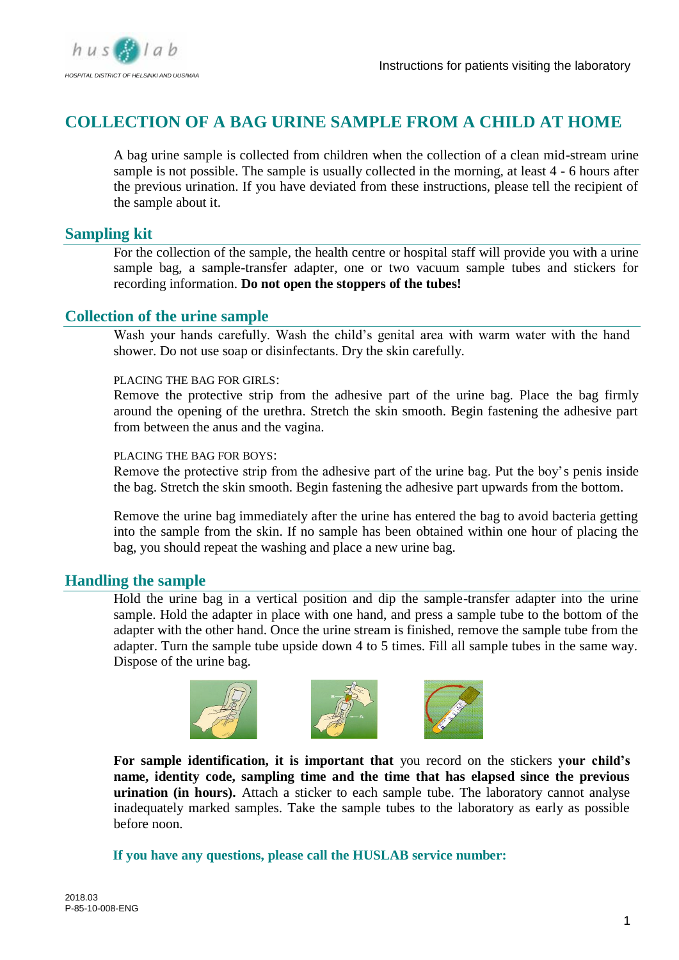

# **COLLECTION OF A BAG URINE SAMPLE FROM A CHILD AT HOME**

A bag urine sample is collected from children when the collection of a clean mid-stream urine sample is not possible. The sample is usually collected in the morning, at least 4 - 6 hours after the previous urination. If you have deviated from these instructions, please tell the recipient of the sample about it.

# **Sampling kit**

For the collection of the sample, the health centre or hospital staff will provide you with a urine sample bag, a sample-transfer adapter, one or two vacuum sample tubes and stickers for recording information. **Do not open the stoppers of the tubes!** 

## **Collection of the urine sample**

Wash your hands carefully. Wash the child's genital area with warm water with the hand shower. Do not use soap or disinfectants. Dry the skin carefully.

#### PLACING THE BAG FOR GIRLS:

Remove the protective strip from the adhesive part of the urine bag. Place the bag firmly around the opening of the urethra. Stretch the skin smooth. Begin fastening the adhesive part from between the anus and the vagina.

#### PLACING THE BAG FOR BOYS:

Remove the protective strip from the adhesive part of the urine bag. Put the boy's penis inside the bag. Stretch the skin smooth. Begin fastening the adhesive part upwards from the bottom.

Remove the urine bag immediately after the urine has entered the bag to avoid bacteria getting into the sample from the skin. If no sample has been obtained within one hour of placing the bag, you should repeat the washing and place a new urine bag.

# **Handling the sample**

Hold the urine bag in a vertical position and dip the sample-transfer adapter into the urine sample. Hold the adapter in place with one hand, and press a sample tube to the bottom of the adapter with the other hand. Once the urine stream is finished, remove the sample tube from the adapter. Turn the sample tube upside down 4 to 5 times. Fill all sample tubes in the same way. Dispose of the urine bag.



**For sample identification, it is important that** you record on the stickers **your child's name, identity code, sampling time and the time that has elapsed since the previous urination (in hours).** Attach a sticker to each sample tube. The laboratory cannot analyse inadequately marked samples. Take the sample tubes to the laboratory as early as possible before noon.

### **If you have any questions, please call the HUSLAB service number:**